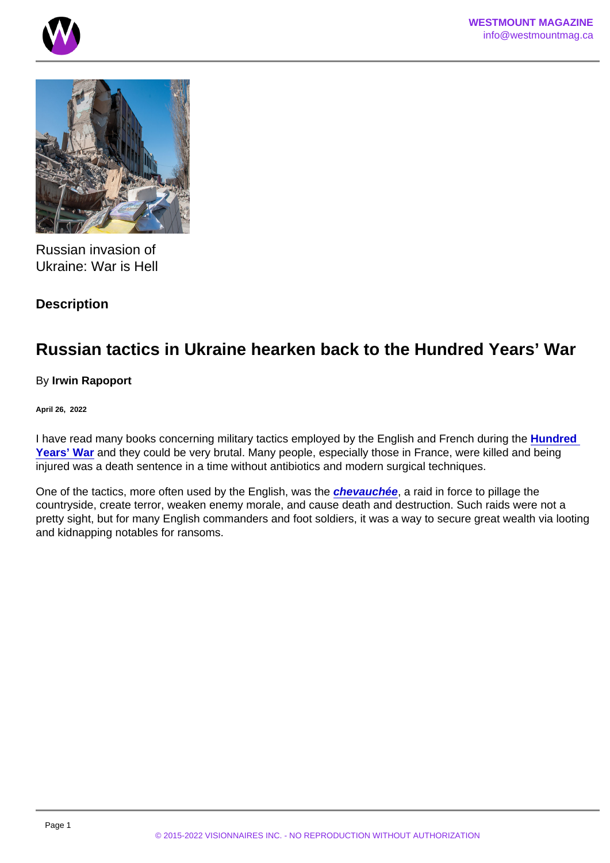Russian invasion of Ukraine: War is Hell

**Description** 

## Russian tactics in Ukraine hearken back to the Hundred Years' War

By Irwin Rapoport

April 26, 2022

I have read many books concerning military tactics employed by the English and French during the [Hundred](https://en.wikipedia.org/wiki/Hundred_Years)  [Years' War](https://en.wikipedia.org/wiki/Hundred_Years) and they could be very brutal. Many people, especially those in France, were killed and being injured was a death sentence in a time without antibiotics and modern surgical techniques.

One of the tactics, more often used by the English, was the [chevauchée](https://en.wikipedia.org/wiki/Chevauchée) , a raid in force to pillage the countryside, create terror, weaken enemy morale, and cause death and destruction. Such raids were not a pretty sight, but for many English commanders and foot soldiers, it was a way to secure great wealth via looting and kidnapping notables for ransoms.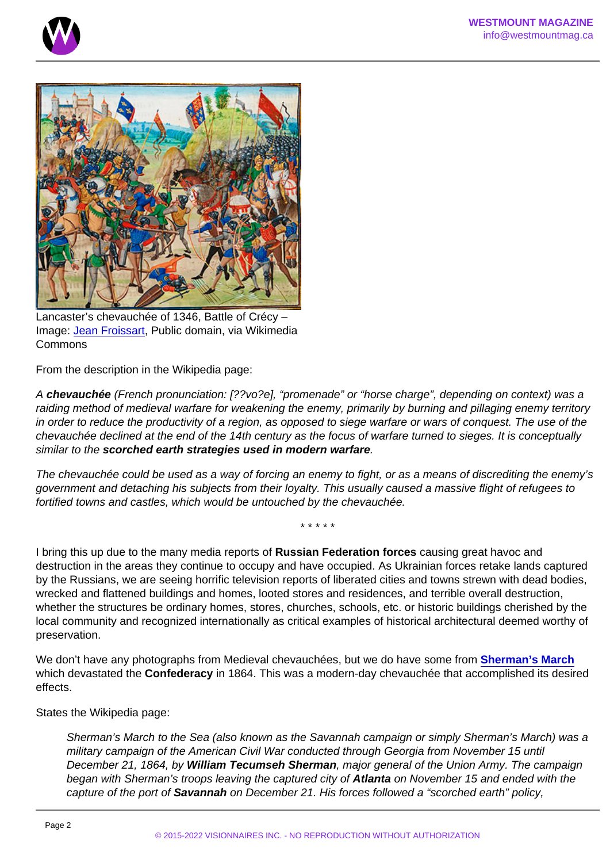Lancaster's chevauchée of 1346, Battle of Crécy – Image: [Jean Froissart](https://commons.wikimedia.org/wiki/File:Battle_of_crecy_froissart.jpg), Public domain, via Wikimedia Commons

From the description in the Wikipedia page:

A chevauchée (French pronunciation: [??vo?e], "promenade" or "horse charge", depending on context) was a raiding method of medieval warfare for weakening the enemy, primarily by burning and pillaging enemy territory in order to reduce the productivity of a region, as opposed to siege warfare or wars of conquest. The use of the chevauchée declined at the end of the 14th century as the focus of warfare turned to sieges. It is conceptually similar to the scorched earth strategies used in modern warfare

The chevauchée could be used as a way of forcing an enemy to fight, or as a means of discrediting the enemy's government and detaching his subjects from their loyalty. This usually caused a massive flight of refugees to fortified towns and castles, which would be untouched by the chevauchée.

\* \* \* \* \*

I bring this up due to the many media reports of Russian Federation forces causing great havoc and destruction in the areas they continue to occupy and have occupied. As Ukrainian forces retake lands captured by the Russians, we are seeing horrific television reports of liberated cities and towns strewn with dead bodies, wrecked and flattened buildings and homes, looted stores and residences, and terrible overall destruction, whether the structures be ordinary homes, stores, churches, schools, etc. or historic buildings cherished by the local community and recognized internationally as critical examples of historical architectural deemed worthy of preservation.

We don't have any photographs from Medieval chevauchées, but we do have some from [Sherman's March](https://en.wikipedia.org/wiki/Sherman) which devastated the Confederacy in 1864. This was a modern-day chevauchée that accomplished its desired effects.

States the Wikipedia page:

Sherman's March to the Sea (also known as the Savannah campaign or simply Sherman's March) was a military campaign of the American Civil War conducted through Georgia from November 15 until December 21, 1864, by William Tecumseh Sherman , major general of the Union Army. The campaign began with Sherman's troops leaving the captured city of Atlanta on November 15 and ended with the capture of the port of Savannah on December 21. His forces followed a "scorched earth" policy,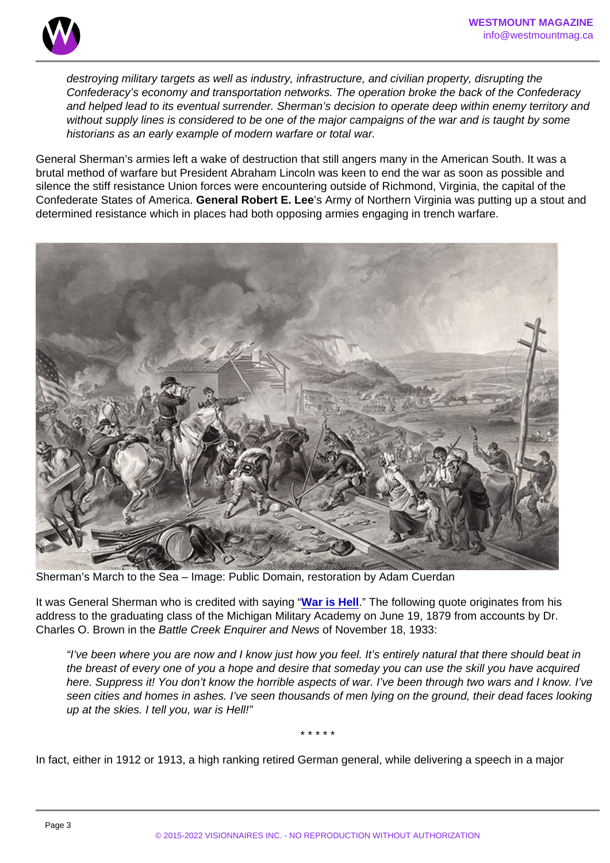destroying military targets as well as industry, infrastructure, and civilian property, disrupting the Confederacy's economy and transportation networks. The operation broke the back of the Confederacy and helped lead to its eventual surrender. Sherman's decision to operate deep within enemy territory and without supply lines is considered to be one of the major campaigns of the war and is taught by some historians as an early example of modern warfare or total war.

General Sherman's armies left a wake of destruction that still angers many in the American South. It was a brutal method of warfare but President Abraham Lincoln was keen to end the war as soon as possible and silence the stiff resistance Union forces were encountering outside of Richmond, Virginia, the capital of the Confederate States of America. General Robert E. Lee 's Army of Northern Virginia was putting up a stout and determined resistance which in places had both opposing armies engaging in trench warfare.

Sherman's March to the Sea – Image: Public Domain, restoration by Adam Cuerdan

It was General Sherman who is credited with saying ["War is Hell](https://en.wikiquote.org/wiki/William_Tecumseh_Sherman#:~:text=War is hell.,a people can pour out) ." The following quote originates from his address to the graduating class of the Michigan Military Academy on June 19, 1879 from accounts by Dr. Charles O. Brown in the Battle Creek Enquirer and News of November 18, 1933:

"I've been where you are now and I know just how you feel. It's entirely natural that there should beat in the breast of every one of you a hope and desire that someday you can use the skill you have acquired here. Suppress it! You don't know the horrible aspects of war. I've been through two wars and I know. I've seen cities and homes in ashes. I've seen thousands of men lying on the ground, their dead faces looking up at the skies. I tell you, war is Hell!"

\* \* \* \* \*

In fact, either in 1912 or 1913, a high ranking retired German general, while delivering a speech in a major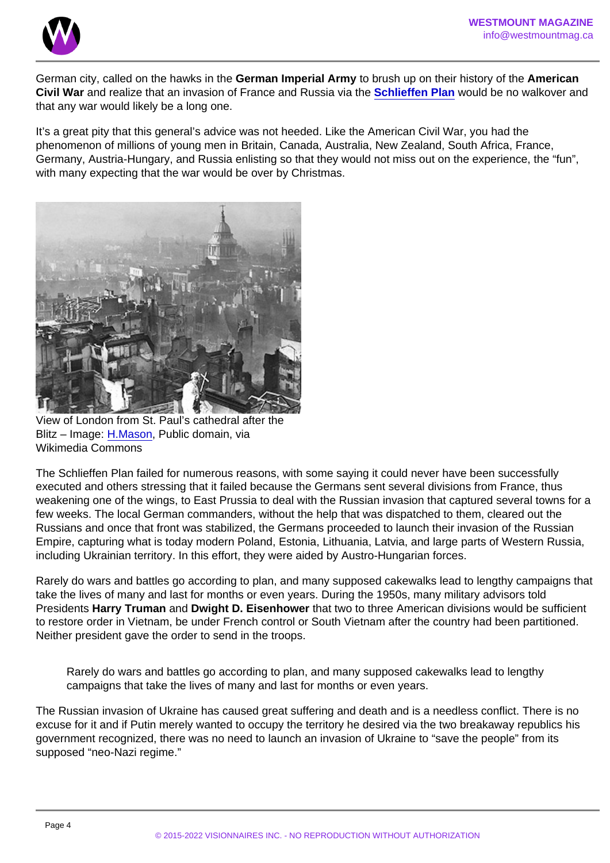German city, called on the hawks in the German Imperial Army to brush up on their history of the American Civil War and realize that an invasion of France and Russia via the [Schlieffen Plan](https://en.wikipedia.org/wiki/Schlieffen_Plan) would be no walkover and that any war would likely be a long one.

It's a great pity that this general's advice was not heeded. Like the American Civil War, you had the phenomenon of millions of young men in Britain, Canada, Australia, New Zealand, South Africa, France, Germany, Austria-Hungary, and Russia enlisting so that they would not miss out on the experience, the "fun", with many expecting that the war would be over by Christmas.

View of London from St. Paul's cathedral after the Blitz – Image: [H.Mason,](https://commons.wikimedia.org/wiki/File:View_from_St_Paul) Public domain, via Wikimedia Commons

The Schlieffen Plan failed for numerous reasons, with some saying it could never have been successfully executed and others stressing that it failed because the Germans sent several divisions from France, thus weakening one of the wings, to East Prussia to deal with the Russian invasion that captured several towns for a few weeks. The local German commanders, without the help that was dispatched to them, cleared out the Russians and once that front was stabilized, the Germans proceeded to launch their invasion of the Russian Empire, capturing what is today modern Poland, Estonia, Lithuania, Latvia, and large parts of Western Russia, including Ukrainian territory. In this effort, they were aided by Austro-Hungarian forces.

Rarely do wars and battles go according to plan, and many supposed cakewalks lead to lengthy campaigns that take the lives of many and last for months or even years. During the 1950s, many military advisors told Presidents Harry Truman and Dwight D. Eisenhower that two to three American divisions would be sufficient to restore order in Vietnam, be under French control or South Vietnam after the country had been partitioned. Neither president gave the order to send in the troops.

Rarely do wars and battles go according to plan, and many supposed cakewalks lead to lengthy campaigns that take the lives of many and last for months or even years.

The Russian invasion of Ukraine has caused great suffering and death and is a needless conflict. There is no excuse for it and if Putin merely wanted to occupy the territory he desired via the two breakaway republics his government recognized, there was no need to launch an invasion of Ukraine to "save the people" from its supposed "neo-Nazi regime."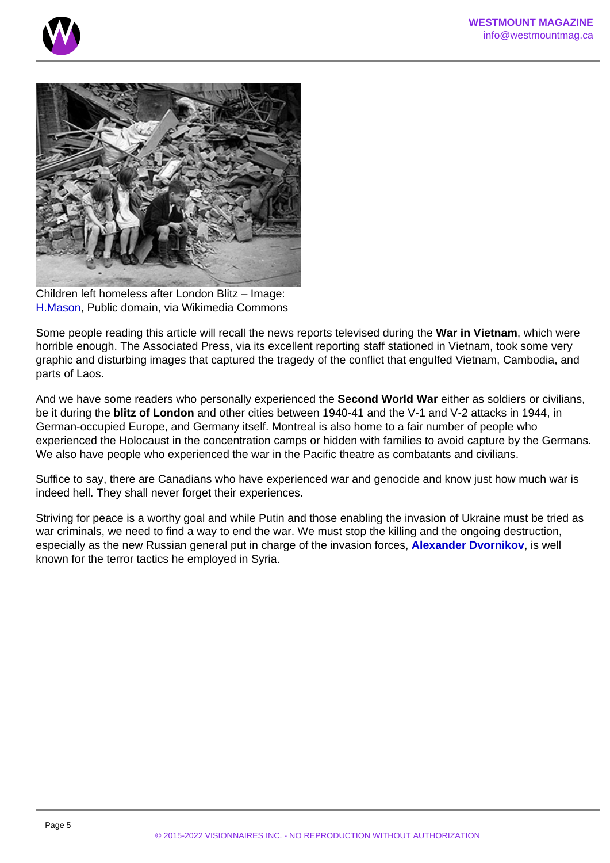Children left homeless after London Blitz – Image: [H.Mason](https://commons.wikimedia.org/wiki/File:View_from_St_Paul), Public domain, via Wikimedia Commons

Some people reading this article will recall the news reports televised during the War in Vietnam , which were horrible enough. The Associated Press, via its excellent reporting staff stationed in Vietnam, took some very graphic and disturbing images that captured the tragedy of the conflict that engulfed Vietnam, Cambodia, and parts of Laos.

And we have some readers who personally experienced the Second World War either as soldiers or civilians, be it during the blitz of London and other cities between 1940-41 and the V-1 and V-2 attacks in 1944, in German-occupied Europe, and Germany itself. Montreal is also home to a fair number of people who experienced the Holocaust in the concentration camps or hidden with families to avoid capture by the Germans. We also have people who experienced the war in the Pacific theatre as combatants and civilians.

Suffice to say, there are Canadians who have experienced war and genocide and know just how much war is indeed hell. They shall never forget their experiences.

Striving for peace is a worthy goal and while Putin and those enabling the invasion of Ukraine must be tried as war criminals, we need to find a way to end the war. We must stop the killing and the ongoing destruction, especially as the new Russian general put in charge of the invasion forces, [Alexander Dvornikov](https://globalnews.ca/news/8749963/russia-ukraine-new-war-commander-us-official/) , is well known for the terror tactics he employed in Syria.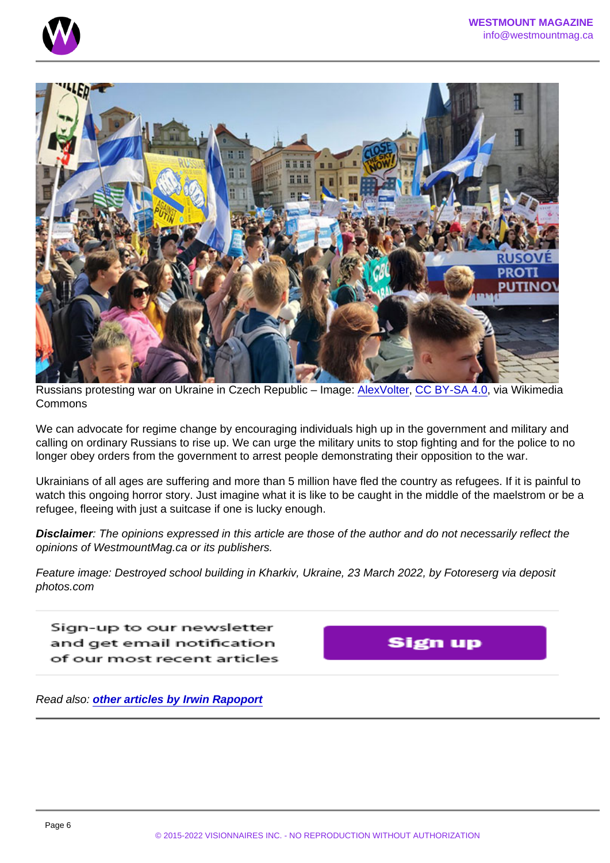Russians protesting war on Ukraine in Czech Republic – Image: [AlexVolter](https://commons.wikimedia.org/wiki/File:Protest_of_Russians_in_the_Czech_Republic_against_the_war_in_Ukraine.png), [CC BY-SA 4.0,](https://creativecommons.org/licenses/by-sa/4.0) via Wikimedia Commons

We can advocate for regime change by encouraging individuals high up in the government and military and calling on ordinary Russians to rise up. We can urge the military units to stop fighting and for the police to no longer obey orders from the government to arrest people demonstrating their opposition to the war.

Ukrainians of all ages are suffering and more than 5 million have fled the country as refugees. If it is painful to watch this ongoing horror story. Just imagine what it is like to be caught in the middle of the maelstrom or be a refugee, fleeing with just a suitcase if one is lucky enough.

Disclaimer : The opinions expressed in this article are those of the author and do not necessarily reflect the opinions of WestmountMag.ca or its publishers.

Feature image: Destroyed school building in Kharkiv, Ukraine, 23 March 2022, by Fotoreserg via deposit photos.com

Read also: [other articles by Irwin Rapoport](https://www.westmountmag.ca/?s=Irwin+Rapoport)